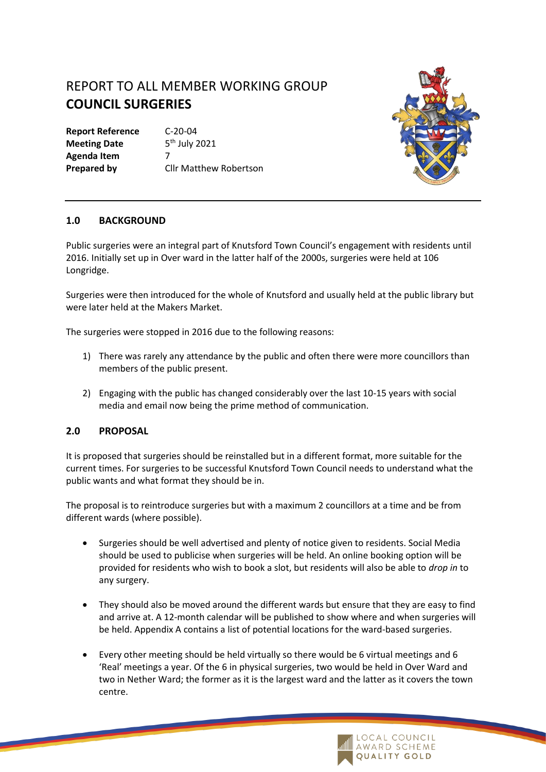# REPORT TO ALL MEMBER WORKING GROUP **COUNCIL SURGERIES**

**Report Reference** C-20-04 **Meeting Date Agenda Item** 7

 $5<sup>th</sup>$  July 2021 **Prepared by Cllr Matthew Robertson** 



## **1.0 BACKGROUND**

Public surgeries were an integral part of Knutsford Town Council's engagement with residents until 2016. Initially set up in Over ward in the latter half of the 2000s, surgeries were held at 106 Longridge.

Surgeries were then introduced for the whole of Knutsford and usually held at the public library but were later held at the Makers Market.

The surgeries were stopped in 2016 due to the following reasons:

- 1) There was rarely any attendance by the public and often there were more councillors than members of the public present.
- 2) Engaging with the public has changed considerably over the last 10-15 years with social media and email now being the prime method of communication.

#### **2.0 PROPOSAL**

It is proposed that surgeries should be reinstalled but in a different format, more suitable for the current times. For surgeries to be successful Knutsford Town Council needs to understand what the public wants and what format they should be in.

The proposal is to reintroduce surgeries but with a maximum 2 councillors at a time and be from different wards (where possible).

- Surgeries should be well advertised and plenty of notice given to residents. Social Media should be used to publicise when surgeries will be held. An online booking option will be provided for residents who wish to book a slot, but residents will also be able to *drop in* to any surgery.
- They should also be moved around the different wards but ensure that they are easy to find and arrive at. A 12-month calendar will be published to show where and when surgeries will be held. Appendix A contains a list of potential locations for the ward-based surgeries.
- Every other meeting should be held virtually so there would be 6 virtual meetings and 6 'Real' meetings a year. Of the 6 in physical surgeries, two would be held in Over Ward and two in Nether Ward; the former as it is the largest ward and the latter as it covers the town centre.

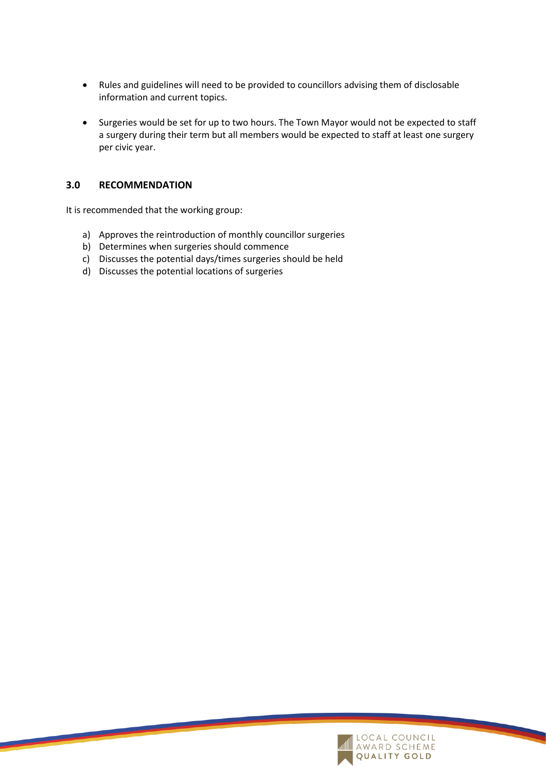- Rules and guidelines will need to be provided to councillors advising them of disclosable information and current topics.
- Surgeries would be set for up to two hours. The Town Mayor would not be expected to staff a surgery during their term but all members would be expected to staff at least one surgery per civic year.

### **3.0 RECOMMENDATION**

It is recommended that the working group:

- a) Approves the reintroduction of monthly councillor surgeries
- b) Determines when surgeries should commence
- c) Discusses the potential days/times surgeries should be held
- d) Discusses the potential locations of surgeries